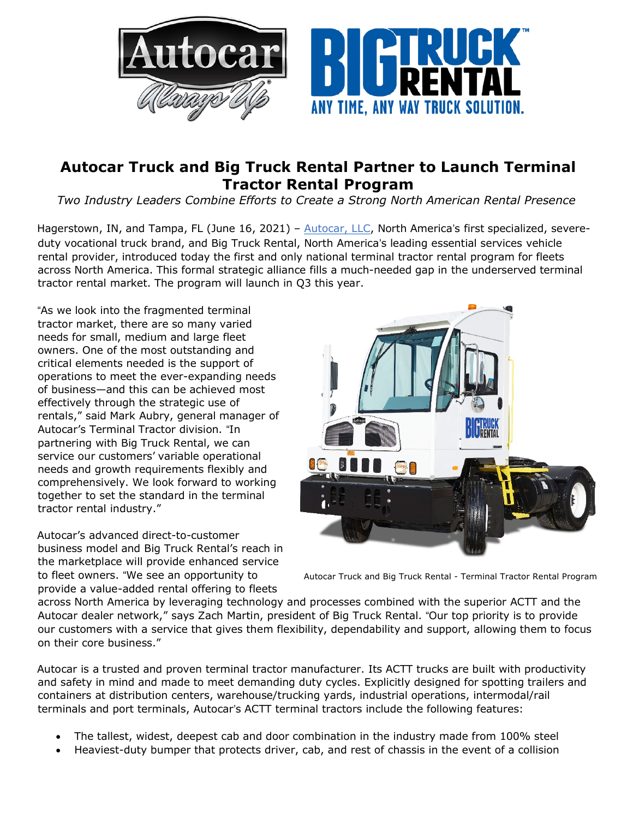

## **Autocar Truck and Big Truck Rental Partner to Launch Terminal Tractor Rental Program**

*Two Industry Leaders Combine Efforts to Create a Strong North American Rental Presence*

Hagerstown, IN, and Tampa, FL (June 16, 2021) - Autocar, LLC, North America's first specialized, severeduty vocational truck brand, and Big Truck Rental, North America's leading essential services vehicle rental provider, introduced today the first and only national terminal tractor rental program for fleets across North America. This formal strategic alliance fills a much-needed gap in the underserved terminal tractor rental market. The program will launch in Q3 this year.

"As we look into the fragmented terminal tractor market, there are so many varied needs for small, medium and large fleet owners. One of the most outstanding and critical elements needed is the support of operations to meet the ever-expanding needs of business—and this can be achieved most effectively through the strategic use of rentals," said Mark Aubry, general manager of Autocar's Terminal Tractor division. "In partnering with Big Truck Rental, we can service our customers' variable operational needs and growth requirements flexibly and comprehensively. We look forward to working together to set the standard in the terminal tractor rental industry."

Autocar's advanced direct-to-customer business model and Big Truck Rental's reach in the marketplace will provide enhanced service to fleet owners. "We see an opportunity to provide a value-added rental offering to fleets



Autocar Truck and Big Truck Rental - Terminal Tractor Rental Program

across North America by leveraging technology and processes combined with the superior ACTT and the Autocar dealer network," says Zach Martin, president of Big Truck Rental. "Our top priority is to provide our customers with a service that gives them flexibility, dependability and support, allowing them to focus on their core business."

Autocar is a trusted and proven terminal tractor manufacturer. Its ACTT trucks are built with productivity and safety in mind and made to meet demanding duty cycles. Explicitly designed for spotting trailers and containers at distribution centers, warehouse/trucking yards, industrial operations, intermodal/rail terminals and port terminals, Autocar's ACTT terminal tractors include the following features:

- The tallest, widest, deepest cab and door combination in the industry made from 100% steel
- Heaviest-duty bumper that protects driver, cab, and rest of chassis in the event of a collision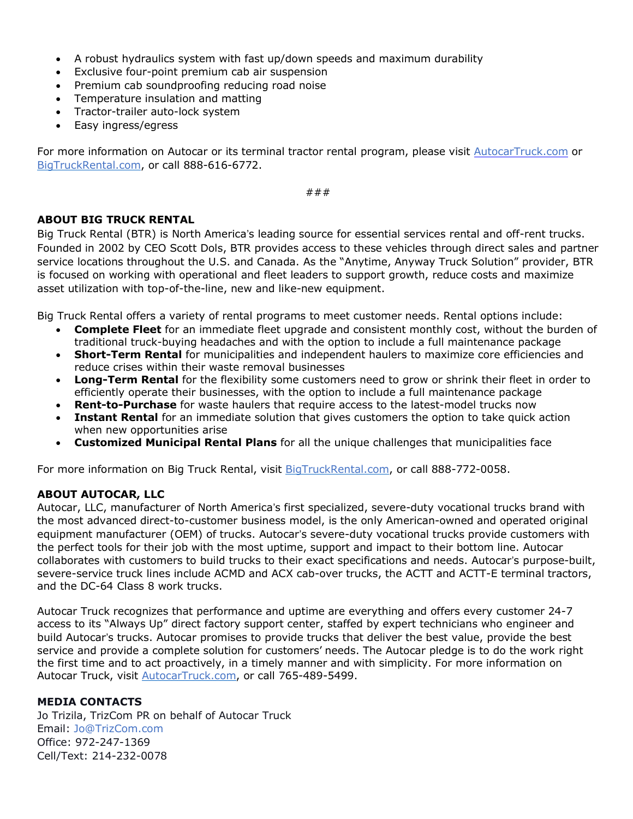- A robust hydraulics system with fast up/down speeds and maximum durability
- Exclusive four-point premium cab air suspension
- Premium cab soundproofing reducing road noise
- Temperature insulation and matting
- Tractor-trailer auto-lock system
- Easy ingress/egress

For more information on Autocar or its terminal tractor rental program, please visit AutocarTruck.com or BigTruckRental.com, or call 888-616-6772.

###

## **ABOUT BIG TRUCK RENTAL**

Big Truck Rental (BTR) is North America's leading source for essential services rental and off-rent trucks. Founded in 2002 by CEO Scott Dols, BTR provides access to these vehicles through direct sales and partner service locations throughout the U.S. and Canada. As the "Anytime, Anyway Truck Solution" provider, BTR is focused on working with operational and fleet leaders to support growth, reduce costs and maximize asset utilization with top-of-the-line, new and like-new equipment.

Big Truck Rental offers a variety of rental programs to meet customer needs. Rental options include:

- **Complete Fleet** for an immediate fleet upgrade and consistent monthly cost, without the burden of traditional truck-buying headaches and with the option to include a full maintenance package
- **Short-Term Rental** for municipalities and independent haulers to maximize core efficiencies and reduce crises within their waste removal businesses
- **Long-Term Rental** for the flexibility some customers need to grow or shrink their fleet in order to efficiently operate their businesses, with the option to include a full maintenance package
- **Rent-to-Purchase** for waste haulers that require access to the latest-model trucks now
- **Instant Rental** for an immediate solution that gives customers the option to take quick action when new opportunities arise
- **Customized Municipal Rental Plans** for all the unique challenges that municipalities face

For more information on Big Truck Rental, visit BigTruckRental.com, or call 888-772-0058.

## **ABOUT AUTOCAR, LLC**

Autocar, LLC, manufacturer of North America's first specialized, severe-duty vocational trucks brand with the most advanced direct-to-customer business model, is the only American-owned and operated original equipment manufacturer (OEM) of trucks. Autocar's severe-duty vocational trucks provide customers with the perfect tools for their job with the most uptime, support and impact to their bottom line. Autocar collaborates with customers to build trucks to their exact specifications and needs. Autocar's purpose-built, severe-service truck lines include ACMD and ACX cab-over trucks, the ACTT and ACTT-E terminal tractors, and the DC-64 Class 8 work trucks.

Autocar Truck recognizes that performance and uptime are everything and offers every customer 24-7 access to its "Always Up" direct factory support center, staffed by expert technicians who engineer and build Autocar's trucks. Autocar promises to provide trucks that deliver the best value, provide the best service and provide a complete solution for customers' needs. The Autocar pledge is to do the work right the first time and to act proactively, in a timely manner and with simplicity. For more information on Autocar Truck, visit **AutocarTruck.com**, or call 765-489-5499.

## **MEDIA CONTACTS**

Jo Trizila, TrizCom PR on behalf of Autocar Truck Email: Jo@TrizCom.com Office: 972-247-1369 Cell/Text: 214-232-0078